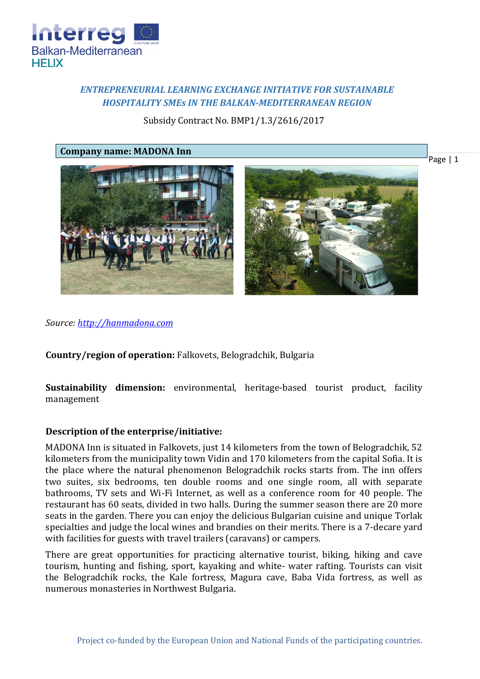

# *ENTREPRENEURIAL LEARNING EXCHANGE INITIATIVE FOR SUSTAINABLE HOSPITALITY SMEs IN THE BALKAN-MEDITERRANEAN REGION*

Subsidy Contract No. BMP1/1.3/2616/2017

**Company name: MADONA Inn**



Page | 1

*Source: [http://hanmadona.com](http://hanmadona.com/)*

**Country/region of operation:** Falkovets, Belogradchik, Bulgaria

**Sustainability dimension:** environmental, heritage-based tourist product, facility management

## **Description of the enterprise/initiative:**

MADONA Inn is situated in Falkovets, just 14 kilometers from the town of Belogradchik, 52 kilometers from the municipality town Vidin and 170 kilometers from the capital Sofia. It is the place where the natural phenomenon Belogradchik rocks starts from. The inn offers two suites, six bedrooms, ten double rooms and one single room, all with separate bathrooms, TV sets and Wi-Fi Internet, as well as a conference room for 40 people. The restaurant has 60 seats, divided in two halls. During the summer season there are 20 more seats in the garden. There you can enjoy the delicious Bulgarian cuisine and unique Torlak specialties and judge the local wines and brandies on their merits. There is a 7-decare yard with facilities for guests with travel trailers (caravans) or campers.

There are great opportunities for practicing alternative tourist, biking, hiking and cave tourism, hunting and fishing, sport, kayaking and white- water rafting. Tourists can visit the Belogradchik rocks, the Kale fortress, Magura cave, Baba Vida fortress, as well as numerous monasteries in Northwest Bulgaria.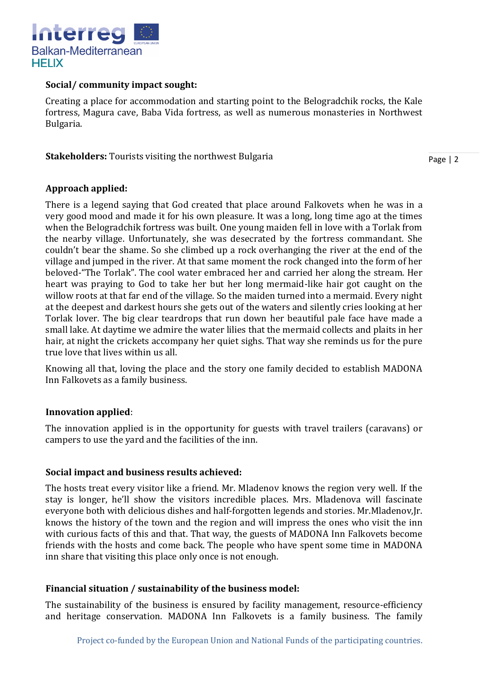

### **Social/ community impact sought:**

Creating a place for accommodation and starting point to the Belogradchik rocks, the Kale fortress, Magura cave, Baba Vida fortress, as well as numerous monasteries in Northwest Bulgaria.

**Stakeholders:** Tourists visiting the northwest Bulgaria

Page | 2

## **Approach applied:**

There is a legend saying that God created that place around Falkovets when he was in a very good mood and made it for his own pleasure. It was a long, long time ago at the times when the Belogradchik fortress was built. One young maiden fell in love with a Torlak from the nearby village. Unfortunately, she was desecrated by the fortress commandant. She couldn't bear the shame. So she climbed up a rock overhanging the river at the end of the village and jumped in the river. At that same moment the rock changed into the form of her beloved-"The Torlak". The cool water embraced her and carried her along the stream. Her heart was praying to God to take her but her long mermaid-like hair got caught on the willow roots at that far end of the village. So the maiden turned into a mermaid. Every night at the deepest and darkest hours she gets out of the waters and silently cries looking at her Torlak lover. The big clear teardrops that run down her beautiful pale face have made a small lake. At daytime we admire the water lilies that the mermaid collects and plaits in her hair, at night the crickets accompany her quiet sighs. That way she reminds us for the pure true love that lives within us all.

Knowing all that, loving the place and the story one family decided to establish MADONA Inn Falkovets as a family business.

## **Innovation applied**:

The innovation applied is in the opportunity for guests with travel trailers (caravans) or campers to use the yard and the facilities of the inn.

## **Social impact and business results achieved:**

The hosts treat every visitor like a friend. Mr. Mladenov knows the region very well. If the stay is longer, he'll show the visitors incredible places. Mrs. Mladenova will fascinate everyone both with delicious dishes and half-forgotten legends and stories. Mr.Mladenov,Jr. knows the history of the town and the region and will impress the ones who visit the inn with curious facts of this and that. That way, the guests of MADONA Inn Falkovets become friends with the hosts and come back. The people who have spent some time in MADONA inn share that visiting this place only once is not enough.

## **Financial situation / sustainability of the business model:**

The sustainability of the business is ensured by facility management, resource-efficiency and heritage conservation. MADONA Inn Falkovets is a family business. The family